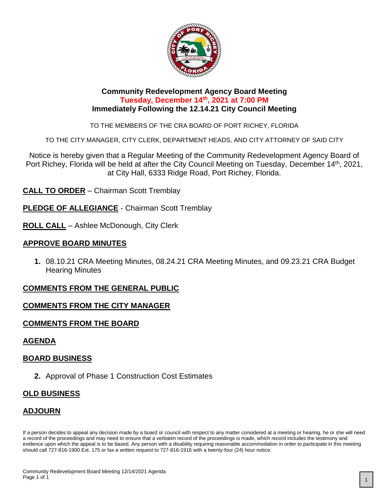

#### **Community Redevelopment Agency Board Meeting Tuesday, December 14th, 2021 at 7:00 PM Immediately Following the 12.14.21 City Council Meeting**

TO THE MEMBERS OF THE CRA BOARD OF PORT RICHEY, FLORIDA

TO THE CITY MANAGER, CITY CLERK, DEPARTMENT HEADS, AND CITY ATTORNEY OF SAID CITY

Notice is hereby given that a Regular Meeting of the Community Redevelopment Agency Board of Port Richey, Florida will be held at after the City Council Meeting on Tuesday, December 14<sup>th</sup>, 2021, at City Hall, 6333 Ridge Road, Port Richey, Florida.

**CALL TO ORDER** – Chairman Scott Tremblay

**PLEDGE OF ALLEGIANCE** - Chairman Scott Tremblay

**ROLL CALL** – Ashlee McDonough, City Clerk

#### **APPROVE BOARD MINUTES**

**1.** 08.10.21 CRA Meeting Minutes, 08.24.21 CRA Meeting Minutes, and 09.23.21 CRA Budget Hearing Minutes

#### **COMMENTS FROM THE GENERAL PUBLIC**

#### **COMMENTS FROM THE CITY MANAGER**

#### **COMMENTS FROM THE BOARD**

#### **AGENDA**

#### **BOARD BUSINESS**

**2.** Approval of Phase 1 Construction Cost Estimates

#### **OLD BUSINESS**

# **ADJOURN**

If a person decides to appeal any decision made by a board or council with respect to any matter considered at a meeting or hearing, he or she will need a record of the proceedings and may need to ensure that a verbatim record of the proceedings is made, which record includes the testimony and evidence upon which the appeal is to be based. Any person with a disability requiring reasonable accommodation in order to participate in this meeting should call 727-816-1900 Ext. 175 or fax a written request to 727-816-1916 with a twenty-four (24) hour notice.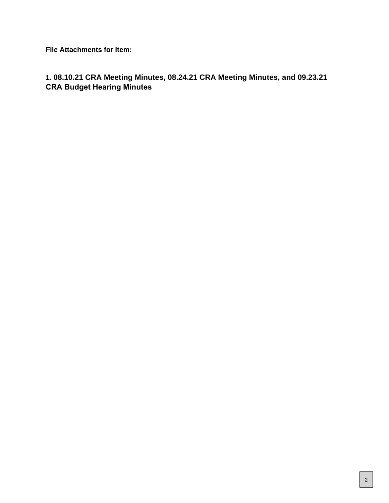**File Attachments for Item:**

# **1. 08.10.21 CRA Meeting Minutes, 08.24.21 CRA Meeting Minutes, and 09.23.21 CRA Budget Hearing Minutes**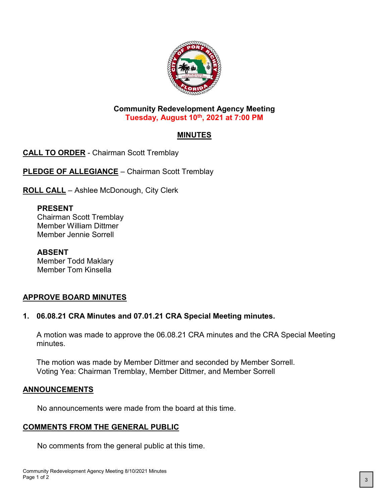

#### **Community Redevelopment Agency Meeting Tuesday, August 10th, 2021 at 7:00 PM**

# **MINUTES**

**CALL TO ORDER** - Chairman Scott Tremblay

**PLEDGE OF ALLEGIANCE** - Chairman Scott Tremblay

**ROLL CALL** – Ashlee McDonough, City Clerk

# **PRESENT**

Chairman Scott Tremblay Member William Dittmer Member Jennie Sorrell

**ABSENT** Member Todd Maklary Member Tom Kinsella

# **APPROVE BOARD MINUTES**

# **1. 06.08.21 CRA Minutes and 07.01.21 CRA Special Meeting minutes.**

A motion was made to approve the 06.08.21 CRA minutes and the CRA Special Meeting minutes.

The motion was made by Member Dittmer and seconded by Member Sorrell. Voting Yea: Chairman Tremblay, Member Dittmer, and Member Sorrell

# **ANNOUNCEMENTS**

No announcements were made from the board at this time.

# **COMMENTS FROM THE GENERAL PUBLIC**

No comments from the general public at this time.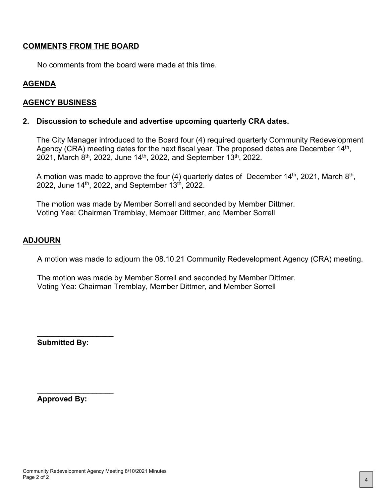#### **COMMENTS FROM THE BOARD**

No comments from the board were made at this time.

### **AGENDA**

#### **AGENCY BUSINESS**

#### **2. Discussion to schedule and advertise upcoming quarterly CRA dates.**

The City Manager introduced to the Board four (4) required quarterly Community Redevelopment Agency (CRA) meeting dates for the next fiscal year. The proposed dates are December 14<sup>th</sup>, 2021, March  $8^{th}$ , 2022, June 14<sup>th</sup>, 2022, and September 13<sup>th</sup>, 2022.

A motion was made to approve the four (4) quarterly dates of December 14<sup>th</sup>, 2021, March 8<sup>th</sup>, 2022, June  $14^{th}$ , 2022, and September  $13^{th}$ , 2022.

The motion was made by Member Sorrell and seconded by Member Dittmer. Voting Yea: Chairman Tremblay, Member Dittmer, and Member Sorrell

#### **ADJOURN**

A motion was made to adjourn the 08.10.21 Community Redevelopment Agency (CRA) meeting.

The motion was made by Member Sorrell and seconded by Member Dittmer. Voting Yea: Chairman Tremblay, Member Dittmer, and Member Sorrell

**Submitted By:**

\_\_\_\_\_\_\_\_\_\_\_\_\_\_\_\_\_\_

\_\_\_\_\_\_\_\_\_\_\_\_\_\_\_\_\_\_

**Approved By:**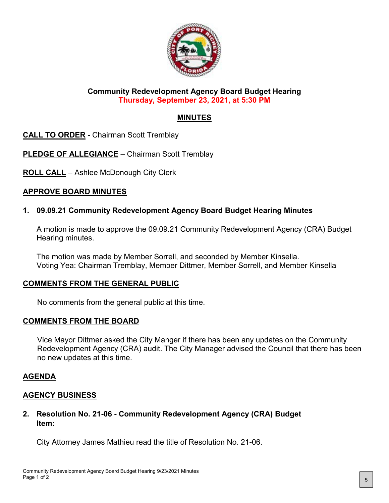

### **Community Redevelopment Agency Board Budget Hearing Thursday, September 23, 2021, at 5:30 PM**

# **MINUTES**

**CALL TO ORDER** - Chairman Scott Tremblay

**PLEDGE OF ALLEGIANCE** – Chairman Scott Tremblay

**ROLL CALL** – Ashlee McDonough City Clerk

# **APPROVE BOARD MINUTES**

# **1. 09.09.21 Community Redevelopment Agency Board Budget Hearing Minutes**

A motion is made to approve the 09.09.21 Community Redevelopment Agency (CRA) Budget Hearing minutes.

The motion was made by Member Sorrell, and seconded by Member Kinsella. Voting Yea: Chairman Tremblay, Member Dittmer, Member Sorrell, and Member Kinsella

# **COMMENTS FROM THE GENERAL PUBLIC**

No comments from the general public at this time.

#### **COMMENTS FROM THE BOARD**

Vice Mayor Dittmer asked the City Manger if there has been any updates on the Community Redevelopment Agency (CRA) audit. The City Manager advised the Council that there has been no new updates at this time.

# **AGENDA**

# **AGENCY BUSINESS**

### **2. Resolution No. 21-06 - Community Redevelopment Agency (CRA) Budget Item:**

City Attorney James Mathieu read the title of Resolution No. 21-06.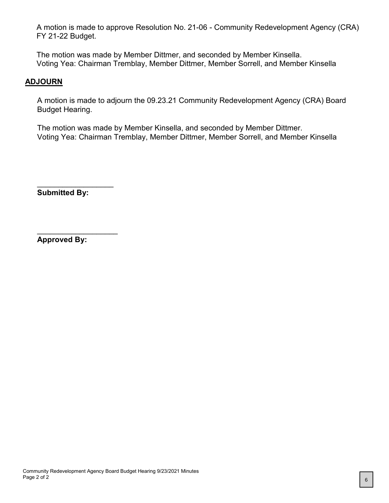A motion is made to approve Resolution No. 21-06 - Community Redevelopment Agency (CRA) FY 21-22 Budget.

The motion was made by Member Dittmer, and seconded by Member Kinsella. Voting Yea: Chairman Tremblay, Member Dittmer, Member Sorrell, and Member Kinsella

# **ADJOURN**

A motion is made to adjourn the 09.23.21 Community Redevelopment Agency (CRA) Board Budget Hearing.

The motion was made by Member Kinsella, and seconded by Member Dittmer. Voting Yea: Chairman Tremblay, Member Dittmer, Member Sorrell, and Member Kinsella

**Submitted By:**

\_\_\_\_\_\_\_\_\_\_\_\_\_\_\_\_\_\_

\_\_\_\_\_\_\_\_\_\_\_\_\_\_\_\_\_\_\_

**Approved By:**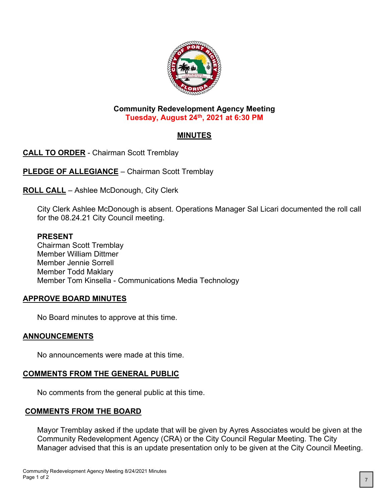

### **Community Redevelopment Agency Meeting Tuesday, August 24th, 2021 at 6:30 PM**

# **MINUTES**

**CALL TO ORDER** - Chairman Scott Tremblay

**PLEDGE OF ALLEGIANCE** – Chairman Scott Tremblay

**ROLL CALL** – Ashlee McDonough, City Clerk

City Clerk Ashlee McDonough is absent. Operations Manager Sal Licari documented the roll call for the 08.24.21 City Council meeting.

### **PRESENT**

Chairman Scott Tremblay Member William Dittmer Member Jennie Sorrell Member Todd Maklary Member Tom Kinsella - Communications Media Technology

# **APPROVE BOARD MINUTES**

No Board minutes to approve at this time.

# **ANNOUNCEMENTS**

No announcements were made at this time.

# **COMMENTS FROM THE GENERAL PUBLIC**

No comments from the general public at this time.

# **COMMENTS FROM THE BOARD**

Mayor Tremblay asked if the update that will be given by Ayres Associates would be given at the Community Redevelopment Agency (CRA) or the City Council Regular Meeting. The City Manager advised that this is an update presentation only to be given at the City Council Meeting.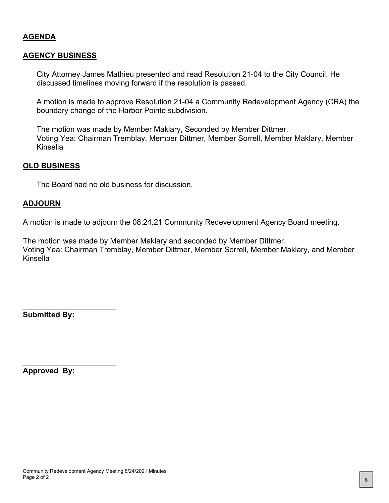### **AGENDA**

#### **AGENCY BUSINESS**

City Attorney James Mathieu presented and read Resolution 21-04 to the City Council. He discussed timelines moving forward if the resolution is passed.

A motion is made to approve Resolution 21-04 a Community Redevelopment Agency (CRA) the boundary change of the Harbor Pointe subdivision.

The motion was made by Member Maklary, Seconded by Member Dittmer. Voting Yea: Chairman Tremblay, Member Dittmer, Member Sorrell, Member Maklary, Member Kinsella

#### **OLD BUSINESS**

The Board had no old business for discussion.

#### **ADJOURN**

A motion is made to adjourn the 08.24.21 Community Redevelopment Agency Board meeting.

The motion was made by Member Maklary and seconded by Member Dittmer. Voting Yea: Chairman Tremblay, Member Dittmer, Member Sorrell, Member Maklary, and Member Kinsella

**Submitted By:**

\_\_\_\_\_\_\_\_\_\_\_\_\_\_\_\_\_\_\_\_\_\_

\_\_\_\_\_\_\_\_\_\_\_\_\_\_\_\_\_\_\_\_\_\_

**Approved By:**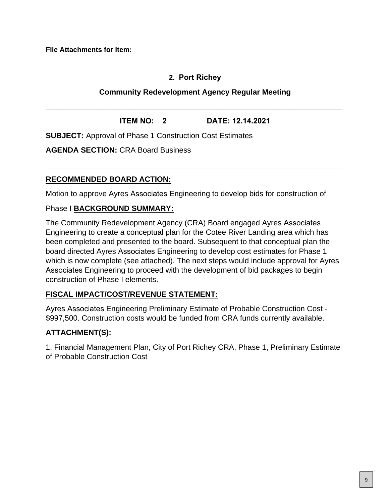**File Attachments for Item:**

# **2. Port Richey**

# **Community Redevelopment Agency Regular Meeting**

**ITEM NO: 2 DATE: 12.14.2021**

**\_\_\_\_\_\_\_\_\_\_\_\_\_\_\_\_\_\_\_\_\_\_\_\_\_\_\_\_\_\_\_\_\_\_\_\_\_\_\_\_\_\_\_\_\_\_\_\_\_\_\_\_\_\_\_\_\_\_\_\_\_\_\_\_\_\_\_\_\_\_**

**\_\_\_\_\_\_\_\_\_\_\_\_\_\_\_\_\_\_\_\_\_\_\_\_\_\_\_\_\_\_\_\_\_\_\_\_\_\_\_\_\_\_\_\_\_\_\_\_\_\_\_\_\_\_\_\_\_\_\_\_\_\_\_\_\_\_\_\_\_\_**

**SUBJECT:** Approval of Phase 1 Construction Cost Estimates

**AGENDA SECTION:** CRA Board Business

# **RECOMMENDED BOARD ACTION:**

Motion to approve Ayres Associates Engineering to develop bids for construction of

### Phase I **BACKGROUND SUMMARY:**

The Community Redevelopment Agency (CRA) Board engaged Ayres Associates Engineering to create a conceptual plan for the Cotee River Landing area which has been completed and presented to the board. Subsequent to that conceptual plan the board directed Ayres Associates Engineering to develop cost estimates for Phase 1 which is now complete (see attached). The next steps would include approval for Ayres Associates Engineering to proceed with the development of bid packages to begin construction of Phase I elements.

# **FISCAL IMPACT/COST/REVENUE STATEMENT:**

Ayres Associates Engineering Preliminary Estimate of Probable Construction Cost - \$997,500. Construction costs would be funded from CRA funds currently available.

# **ATTACHMENT(S):**

1. Financial Management Plan, City of Port Richey CRA, Phase 1, Preliminary Estimate of Probable Construction Cost